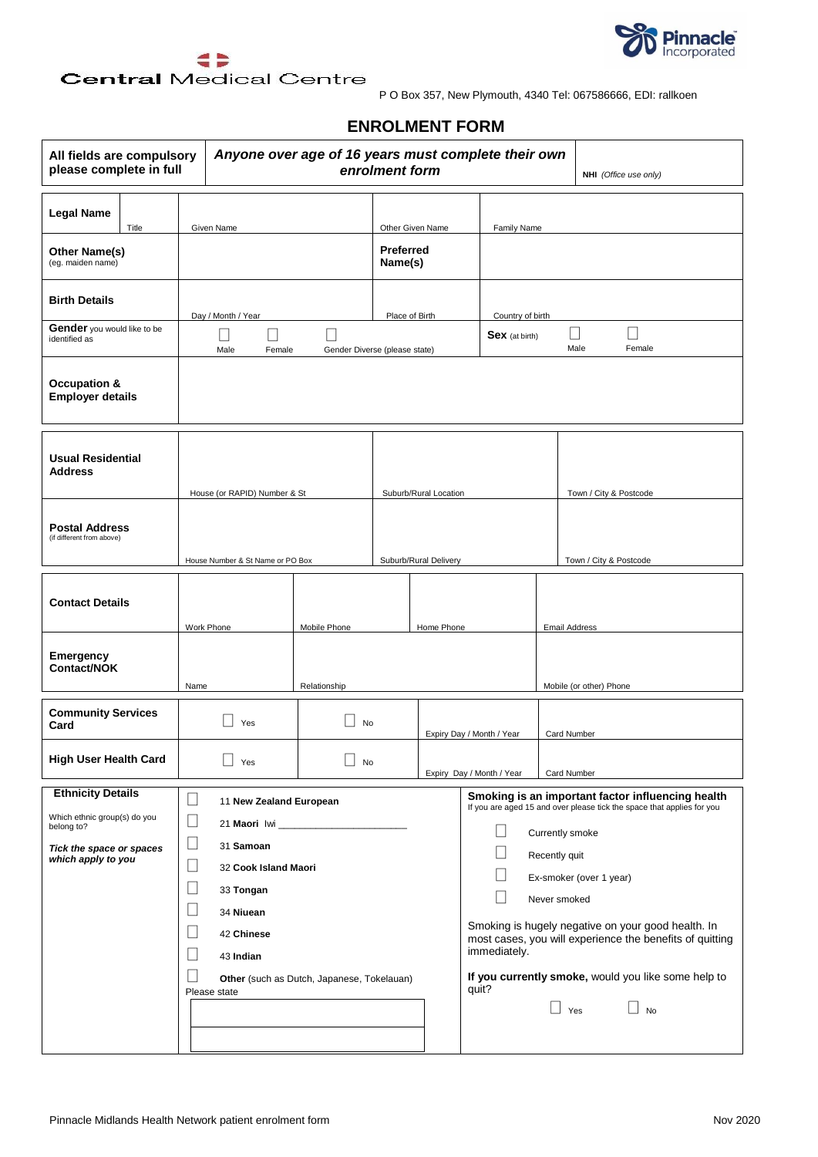



### **Central Medical Centre**

P O Box 357, New Plymouth, 4340 Tel: 067586666, EDI: rallkoen

### **ENROLMENT FORM**

| Anyone over age of 16 years must complete their own<br>All fields are compulsory<br>please complete in full<br>enrolment form<br>NHI (Office use only) |                                                                                                                                                                                                    |                                                                                  |                                                 |                       |                                                                                                                                                                                                                                                                                                                                                                                                                                                                                             |                         |
|--------------------------------------------------------------------------------------------------------------------------------------------------------|----------------------------------------------------------------------------------------------------------------------------------------------------------------------------------------------------|----------------------------------------------------------------------------------|-------------------------------------------------|-----------------------|---------------------------------------------------------------------------------------------------------------------------------------------------------------------------------------------------------------------------------------------------------------------------------------------------------------------------------------------------------------------------------------------------------------------------------------------------------------------------------------------|-------------------------|
| <b>Legal Name</b><br>Title<br>Other Name(s)<br>(eg. maiden name)                                                                                       | Given Name                                                                                                                                                                                         |                                                                                  | Other Given Name<br><b>Preferred</b><br>Name(s) |                       | Family Name                                                                                                                                                                                                                                                                                                                                                                                                                                                                                 |                         |
| <b>Birth Details</b><br>Gender you would like to be<br>identified as                                                                                   | Day / Month / Year<br>- 1<br>Male<br>Female                                                                                                                                                        | Gender Diverse (please state)                                                    | Place of Birth                                  |                       | Country of birth<br><b>Sex</b> (at birth)                                                                                                                                                                                                                                                                                                                                                                                                                                                   | Male<br>Female          |
| <b>Occupation &amp;</b><br><b>Employer details</b>                                                                                                     |                                                                                                                                                                                                    |                                                                                  |                                                 |                       |                                                                                                                                                                                                                                                                                                                                                                                                                                                                                             |                         |
| <b>Usual Residential</b><br><b>Address</b>                                                                                                             | House (or RAPID) Number & St                                                                                                                                                                       |                                                                                  |                                                 | Suburb/Rural Location |                                                                                                                                                                                                                                                                                                                                                                                                                                                                                             | Town / City & Postcode  |
| <b>Postal Address</b><br>(if different from above)                                                                                                     | House Number & St Name or PO Box                                                                                                                                                                   |                                                                                  |                                                 | Suburb/Rural Delivery |                                                                                                                                                                                                                                                                                                                                                                                                                                                                                             | Town / City & Postcode  |
| <b>Contact Details</b>                                                                                                                                 | Work Phone                                                                                                                                                                                         | Mobile Phone                                                                     |                                                 | Home Phone            |                                                                                                                                                                                                                                                                                                                                                                                                                                                                                             | <b>Email Address</b>    |
| Emergency<br>Contact/NOK                                                                                                                               | Name                                                                                                                                                                                               | Relationship                                                                     |                                                 |                       |                                                                                                                                                                                                                                                                                                                                                                                                                                                                                             | Mobile (or other) Phone |
| <b>Community Services</b><br>Card                                                                                                                      | Yes                                                                                                                                                                                                | No                                                                               |                                                 |                       | Expiry Day / Month / Year                                                                                                                                                                                                                                                                                                                                                                                                                                                                   | Card Number             |
| <b>High User Health Card</b>                                                                                                                           | Yes                                                                                                                                                                                                | $\overline{ }$<br>No                                                             |                                                 |                       | Expiry Day / Month / Year                                                                                                                                                                                                                                                                                                                                                                                                                                                                   | Card Number             |
| <b>Ethnicity Details</b><br>Which ethnic group(s) do you<br>belong to?<br>Tick the space or spaces<br>which apply to you                               | $\Box$<br>11 New Zealand European<br>∐<br>$\Box$<br>31 Samoan<br>32 Cook Island Maori<br>$\Box$<br>33 Tongan<br>$\Box$<br>34 Niuean<br>$\Box$<br>42 Chinese<br>$\Box$<br>43 Indian<br>Please state | 21 Maori Iwi _____________________<br>Other (such as Dutch, Japanese, Tokelauan) |                                                 |                       | Smoking is an important factor influencing health<br>If you are aged 15 and over please tick the space that applies for you<br>$\vert \ \ \vert$<br>Currently smoke<br>$\mathcal{L}$<br>Recently quit<br>$\overline{\phantom{a}}$<br>Ex-smoker (over 1 year)<br>Never smoked<br>Smoking is hugely negative on your good health. In<br>most cases, you will experience the benefits of quitting<br>immediately.<br>If you currently smoke, would you like some help to<br>quit?<br>Yes<br>No |                         |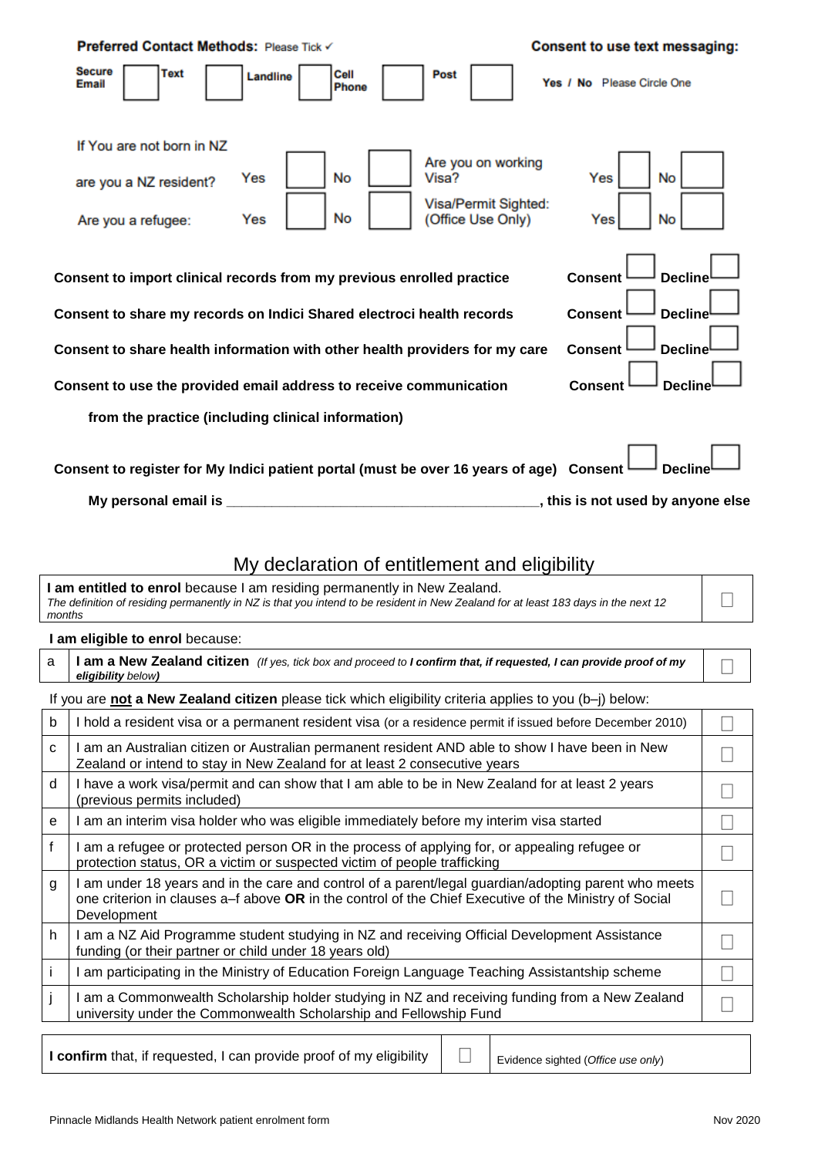| <b>Preferred Contact Methods: Please Tick √</b>                           |                                                                                                                                                                                                                               |                                                                                 | <b>Consent to use text messaging:</b>                                                                    |
|---------------------------------------------------------------------------|-------------------------------------------------------------------------------------------------------------------------------------------------------------------------------------------------------------------------------|---------------------------------------------------------------------------------|----------------------------------------------------------------------------------------------------------|
| <b>Secure</b><br>Text<br><b>Email</b>                                     | Cell<br>Landline<br>Phone                                                                                                                                                                                                     | Post                                                                            | Yes / No Please Circle One                                                                               |
| If You are not born in NZ<br>are you a NZ resident?<br>Are you a refugee: | <b>No</b><br>Yes<br>No<br>Yes                                                                                                                                                                                                 | Are you on working<br>Visa?<br><b>Visa/Permit Sighted:</b><br>(Office Use Only) | <b>No</b><br>Yes<br>No<br>Yes                                                                            |
|                                                                           | Consent to import clinical records from my previous enrolled practice<br>Consent to share my records on Indici Shared electroci health records<br>Consent to share health information with other health providers for my care |                                                                                 | <b>Decline</b><br><b>Consent</b><br><b>Consent</b><br><b>Decline</b><br><b>Decline</b><br><b>Consent</b> |
|                                                                           | Consent to use the provided email address to receive communication<br>from the practice (including clinical information)                                                                                                      |                                                                                 | <b>Consent</b><br><b>Decline</b>                                                                         |
| My personal email is ____                                                 | Consent to register for My Indici patient portal (must be over 16 years of age) Consent                                                                                                                                       |                                                                                 | <b>Decline</b><br>, this is not used by anyone else                                                      |

## My declaration of entitlement and eligibility

**I am entitled to enrol** because I am residing permanently in New Zealand. *The definition of residing permanently in NZ is that you intend to be resident in New Zealand for at least 183 days in the next 12 months*

#### **I am eligible to enrol** because:

|                    | a   I am a New Zealand citizen (If yes, tick box and proceed to I confirm that, if requested, I can provide proof of my |
|--------------------|-------------------------------------------------------------------------------------------------------------------------|
| eligibility below) |                                                                                                                         |

#### If you are **not a New Zealand citizen** please tick which eligibility criteria applies to you (b–j) below:

| b | I hold a resident visa or a permanent resident visa (or a residence permit if issued before December 2010)                                                                                                                   |  |
|---|------------------------------------------------------------------------------------------------------------------------------------------------------------------------------------------------------------------------------|--|
| C | I am an Australian citizen or Australian permanent resident AND able to show I have been in New<br>Zealand or intend to stay in New Zealand for at least 2 consecutive years                                                 |  |
| d | I have a work visa/permit and can show that I am able to be in New Zealand for at least 2 years<br>(previous permits included)                                                                                               |  |
| e | I am an interim visa holder who was eligible immediately before my interim visa started                                                                                                                                      |  |
|   | I am a refugee or protected person OR in the process of applying for, or appealing refugee or<br>protection status, OR a victim or suspected victim of people trafficking                                                    |  |
| g | I am under 18 years and in the care and control of a parent/legal guardian/adopting parent who meets<br>one criterion in clauses a–f above OR in the control of the Chief Executive of the Ministry of Social<br>Development |  |
| h | I am a NZ Aid Programme student studying in NZ and receiving Official Development Assistance<br>funding (or their partner or child under 18 years old)                                                                       |  |
|   | am participating in the Ministry of Education Foreign Language Teaching Assistantship scheme                                                                                                                                 |  |
|   | I am a Commonwealth Scholarship holder studying in NZ and receiving funding from a New Zealand<br>university under the Commonwealth Scholarship and Fellowship Fund                                                          |  |
|   |                                                                                                                                                                                                                              |  |

**I confirm** that, if requested, I can provide proof of my eligibility  $\Box$  Evidence sighted (*Office use only*)

| Evidence sighted (Office use only |  |
|-----------------------------------|--|
|                                   |  |

 $\Box$ 

 $\Box$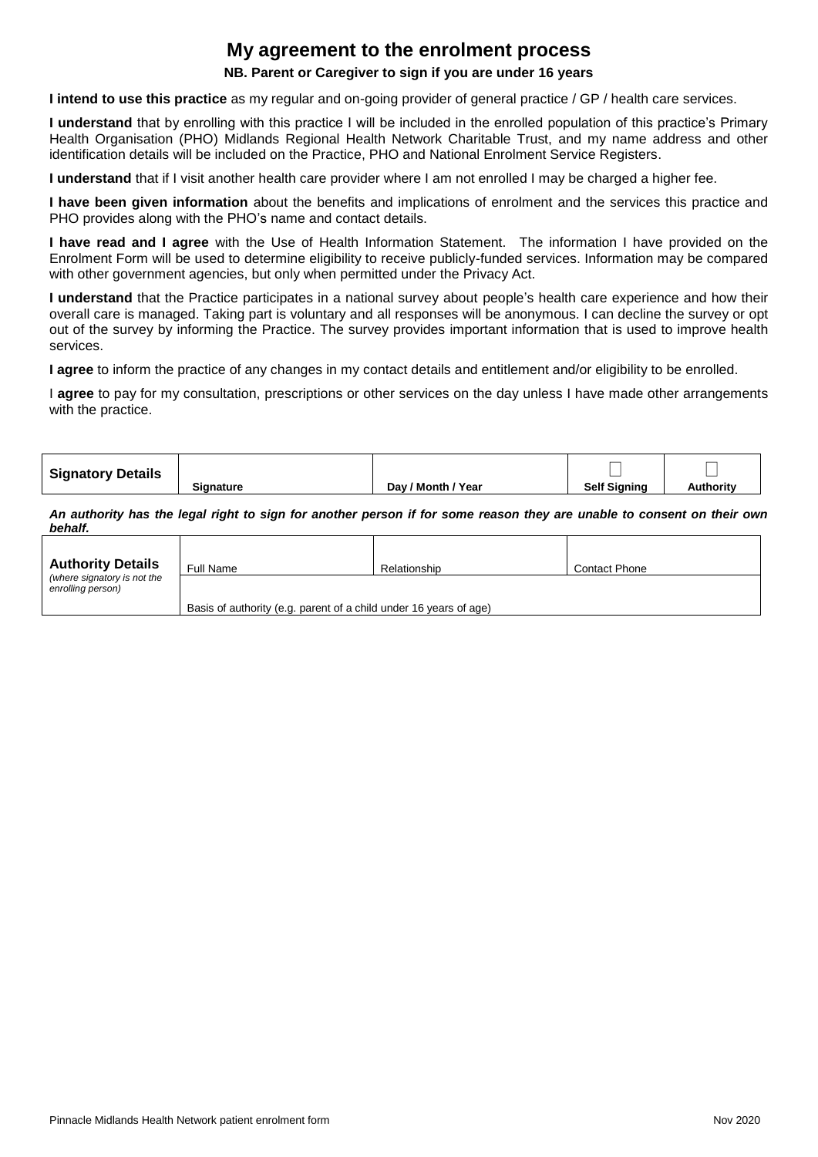# **My agreement to the enrolment process**

#### **NB. Parent or Caregiver to sign if you are under 16 years**

**I intend to use this practice** as my regular and on-going provider of general practice / GP / health care services.

**I understand** that by enrolling with this practice I will be included in the enrolled population of this practice's Primary Health Organisation (PHO) Midlands Regional Health Network Charitable Trust, and my name address and other identification details will be included on the Practice, PHO and National Enrolment Service Registers.

**I understand** that if I visit another health care provider where I am not enrolled I may be charged a higher fee.

**I have been given information** about the benefits and implications of enrolment and the services this practice and PHO provides along with the PHO's name and contact details.

**I have read and I agree** with the Use of Health Information Statement. The information I have provided on the Enrolment Form will be used to determine eligibility to receive publicly-funded services. Information may be compared with other government agencies, but only when permitted under the Privacy Act.

**I understand** that the Practice participates in a national survey about people's health care experience and how their overall care is managed. Taking part is voluntary and all responses will be anonymous. I can decline the survey or opt out of the survey by informing the Practice. The survey provides important information that is used to improve health services.

**I agree** to inform the practice of any changes in my contact details and entitlement and/or eligibility to be enrolled.

I **agree** to pay for my consultation, prescriptions or other services on the day unless I have made other arrangements with the practice.

| <b>Signatory Details</b> |                  |                    |                     |           |
|--------------------------|------------------|--------------------|---------------------|-----------|
|                          | <b>Signature</b> | Day / Month / Year | <b>Self Signing</b> | Authoritv |

*An authority has the legal right to sign for another person if for some reason they are unable to consent on their own behalf.*

| <b>Authority Details</b>                         | Full Name                                                         | Relationship | <b>Contact Phone</b> |
|--------------------------------------------------|-------------------------------------------------------------------|--------------|----------------------|
| (where signatory is not the<br>enrolling person) | Basis of authority (e.g. parent of a child under 16 years of age) |              |                      |